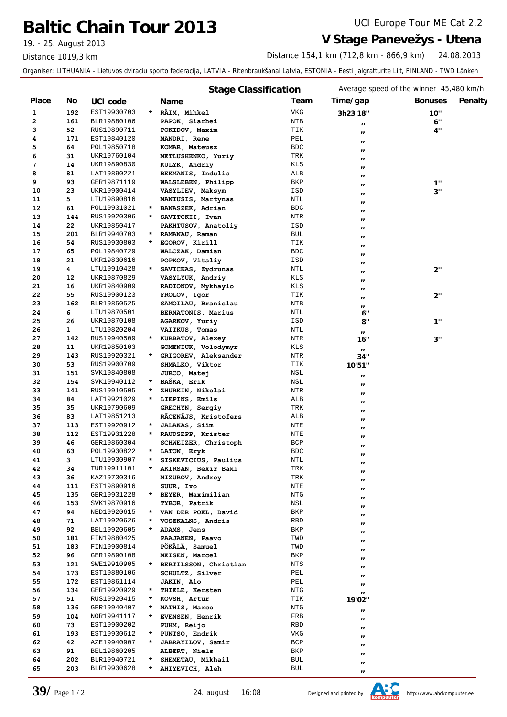## **Baltic Chain Tour 2013** UCI Europe Tour ME Cat 2.2

19. - 25. August 2013 **V Stage Panevežys - Utena**

Distance 1019,3 km

24.08.2013 Distance 154,1 km (712,8 km - 866,9 km)

Organiser: LITHUANIA - Lietuvos dviraciu sporto federacija, LATVIA - Ritenbraukšanai Latvia, ESTONIA - Eesti Jalgratturite Liit, FINLAND - TWD Länken

|              |              |                            |         | <b>Stage Classification</b>           |            | Average speed of the winner 45,480 km/h |                           |
|--------------|--------------|----------------------------|---------|---------------------------------------|------------|-----------------------------------------|---------------------------|
| <b>Place</b> | No.          | UCI code                   |         | <b>Name</b>                           | Team       | Time/gap                                | Penalty<br><b>Bonuses</b> |
| 1            | 192          | EST19930703                | $\star$ | RÄIM, Mihkel                          | <b>VKG</b> | 3h23'18"                                | 10"                       |
| 2            | 161          | BLR19880106                |         | PAPOK, Siarhei                        | NTB        | $\pmb{\scriptstyle{II}}$                | 6"                        |
| з            | 52           | RUS19890711                |         | POKIDOV, Maxim                        | TIK        | $\mathbf{H}$                            | 4"                        |
| 4            | 171          | EST19840120                |         | MANDRI, Rene                          | PEL        | $\pmb{\scriptstyle{II}}$                |                           |
| 5            | 64           | POL19850718                |         | KOMAR, Mateusz                        | <b>BDC</b> | $^{\prime}$                             |                           |
| 6            | 31           | UKR19760104                |         | METLUSHENKO, Yuriy                    | TRK        | $\blacksquare$                          |                           |
| 7            | 14           | UKR19890830                |         | KULYK, Andriy                         | KLS        | $\blacksquare$                          |                           |
| 8            | 81           | LAT19890221                |         | BEKMANIS, Indulis                     | ALB        | $\mathbf{I}$                            |                           |
| 9            | 93           | GER19871119                |         | WALSLEBEN, Philipp                    | BKP        | $\pmb{\mathsf{I}}$                      | 1"                        |
| 10           | 23           | UKR19900414                |         | VASYLIEV, Maksym                      | ISD        | $^{\prime}$                             | 3"                        |
| 11           | 5            | LTU19890816                |         | MANIUŠIS, Martynas                    | NTL        | $\blacksquare$                          |                           |
| 12           | 61           | POL19931021                | $\star$ | BANASZEK, Adrian                      | <b>BDC</b> | $\mathbf{I}$                            |                           |
| 13           | 144          | RUS19920306                | $\star$ | SAVITCKII, Ivan                       | NTR        | $\mathbf{I}$                            |                           |
| 14           | 22           | UKR19850417                |         | PAKHTUSOV, Anatoliy                   | ISD        | $\pmb{\scriptstyle{II}}$                |                           |
| 15           | 201          | BLR19940703                | *       | RAMANAU, Raman                        | <b>BUL</b> | $\mathbf{I}$                            |                           |
| 16           | 54           | RUS19930803                | $\star$ | EGOROV, Kirill                        | TIK        | $^{\prime}$                             |                           |
| 17           | 65           | POL19840729                |         | WALCZAK, Damian                       | <b>BDC</b> | $^{\prime}$                             |                           |
| 18           | 21           | UKR19830616                |         | POPKOV, Vitaliy                       | ISD        | $\mathbf{I}$                            |                           |
| 19           | 4            | LTU19910428                | $\star$ | SAVICKAS, Zydrunas                    | NTL        | $\pmb{\scriptstyle{II}}$                | 2"                        |
| 20           | 12           | UKR19870829                |         | VASYLYUK, Andriy                      | KLS        | $^{\prime}$                             |                           |
| 21           | 16           | UKR19840909                |         | RADIONOV, Mykhaylo                    | KLS        | $\pmb{\mathsf{I}}$                      |                           |
| 22           | 55           | RUS19900123                |         | FROLOV, Igor                          | TIK        | $\pmb{\mathsf{I}}$                      | 2"                        |
| 23           | 162          | BLR19850525                |         | SAMOILAU, Branislau                   | NTB        | $\blacksquare$                          |                           |
| 24           | 6            | LTU19870501                |         | BERNATONIS, Marius                    | NTL        | 6"                                      |                           |
| 25           | 26           | UKR19870108                |         | AGARKOV, Yuriy                        | ISD        | 8"                                      | 1"                        |
| 26           | $\mathbf{1}$ | LTU19820204                |         | VAITKUS, Tomas                        | NTL        | $\mathbf{H}$                            |                           |
| 27           | 142          | RUS19940509                | $\star$ | KURBATOV, Alexey                      | NTR        | 16"                                     | 3"                        |
| 28           | 11           | UKR19850103                |         | GOMENIUK, Volodymyr                   | KLS        | $\mathbf{H}$                            |                           |
| 29           | 143          | RUS19920321                | $\star$ | GRIGOREV, Aleksander                  | NTR        | 34"                                     |                           |
| 30           | 53           | RUS19900709                |         | SHMALKO, Viktor                       | TIK        | 10'51"                                  |                           |
| 31           | 151          | SVK19840808                |         | JURCO, Matej                          | NSL        | $\pmb{\scriptstyle{II}}$                |                           |
| 32           | 154          | SVK19940112                | *       | BAŠKA, Erik                           | NSL        | $\pmb{\mathsf{I}}$                      |                           |
| 33           | 141          | RUS19910505                | *<br>*  | ZHURKIN, Nikolai                      | NTR        | $\mathbf{H}$                            |                           |
| 34           | 84           | LAT19921029                |         | LIEPINS, Emils                        | ALB        | $\pmb{\scriptstyle{II}}$                |                           |
| 35           | 35           | UKR19790609                |         | GRECHYN, Sergiy                       | TRK        | $\blacksquare$                          |                           |
| 36<br>37     | 83<br>113    | LAT19851213                | *       | RĀCENĀJS, Kristofers<br>JALAKAS, Siim | ALB        | $\blacksquare$                          |                           |
| 38           | 112          | EST19920912<br>EST19931228 | $\star$ | RAUDSEPP, Krister                     | NTE<br>NTE | $\blacksquare$                          |                           |
| 39           | 46           | GER19860304                |         | SCHWEIZER, Christoph                  | <b>BCP</b> | $\blacksquare$                          |                           |
| 40           | 63           | POL19930822                | *       | LATON, Eryk                           | <b>BDC</b> | $\pmb{\mathsf{I}}$                      |                           |
| 41           | з            | LTU19930907                | *       | SISKEVICIUS, Paulius                  | NTL        | $^{\prime}$                             |                           |
| 42           | 34           | TUR19911101                | *       | AKIRSAN, Bekir Baki                   | TRK        |                                         |                           |
| 43           | 36           | KAZ19730316                |         | MIZUROV, Andrey                       | TRK        | $\pmb{\scriptstyle{II}}$                |                           |
| 44           | 111          | EST19890916                |         | SUUR, Ivo                             | NTE        | $\mathbf{r}$                            |                           |
| 45           | 135          | GER19931228                | $\star$ | BEYER, Maximilian                     | NTG        | $\boldsymbol{\mu}$                      |                           |
| 46           | 153          | SVK19870916                |         | TYBOR, Patrik                         | NSL        | $\mathbf{r}$                            |                           |
| 47           | 94           | NED19920615                | $\star$ | VAN DER POEL, David                   | BKP        | $\mathbf{r}$                            |                           |
| 48           | 71           | LAT19920626                |         | VOSEKALNS, Andris                     | RBD        | $\blacksquare$                          |                           |
| 49           | 92           | BEL19920605                | $\star$ | ADAMS, Jens                           | BKP        | $\mathbf{r}$                            |                           |
| 50           | 181          | FIN19880425                |         | PAAJANEN, Paavo                       | TWD        | $\pmb{\mathcal{H}}$                     |                           |
| 51           | 183          | FIN19900814                |         | PÖKÄLÄ, Samuel                        | TWD        | $^{\prime}$                             |                           |
| 52           | 96           | GER19890108                |         | MEISEN, Marcel                        | BKP        | $\mathbf{r}$                            |                           |
| 53           | 121          | SWE19910905                |         | BERTILSSON, Christian                 | NTS        | $\pmb{\mathsf{I}}$                      |                           |
| 54           | 173          | EST19880106                |         | SCHULTZ, Silver                       | PEL        | $\mathbf{r}$                            |                           |
| 55           | 172          | EST19861114                |         | JAKIN, Alo                            | PEL        | $\pmb{\mathsf{I}}$                      |                           |
| 56           | 134          | GER19920929                | $\star$ | THIELE, Kersten                       | NTG        | $\mathbf{u}$                            |                           |
| 57           | 51           | RUS19920415                | *       | KOVSH, Artur                          | TIK        | $\blacksquare$<br>19'02"                |                           |
| 58           | 136          | GER19940407                | *       | MATHIS, Marco                         | NTG        |                                         |                           |
| 59           | 104          | NOR19941117                | $\star$ | EVENSEN, Henrik                       | FRB        | $\pmb{\scriptstyle{II}}$                |                           |
| 60           | 73           | EST19900202                |         | PUHM, Reijo                           | RBD        | $\mathbf{r}$                            |                           |
| 61           | 193          | EST19930612                | $\star$ | PUNTSO, Endrik                        | <b>VKG</b> | $\mathbf{H}$                            |                           |
| 62           | 42           | AZE19940907                | *       | JABRAYILOV, Samir                     | BCP        | $\mathbf{r}$                            |                           |
| 63           | 91           | BEL19860205                |         | ALBERT, Niels                         | BKP        | $\pmb{\mathsf{I}}$                      |                           |
| 64           | 202          | BLR19940721                | *       | SHEMETAU, Mikhail                     | BUL        | $\mathbf{r}$                            |                           |
| 65           | 203          | BLR19930628                | *       | AHIYEVICH, Aleh                       | BUL        | $\boldsymbol{\mu}$                      |                           |
|              |              |                            |         |                                       |            | $\boldsymbol{\mu}$                      |                           |